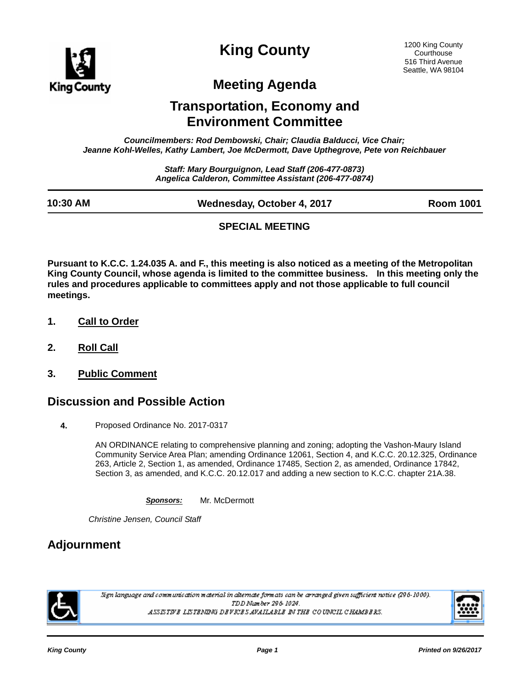

**King County**

## **Meeting Agenda**

## **Transportation, Economy and Environment Committee**

*Councilmembers: Rod Dembowski, Chair; Claudia Balducci, Vice Chair; Jeanne Kohl-Welles, Kathy Lambert, Joe McDermott, Dave Upthegrove, Pete von Reichbauer*

> *Staff: Mary Bourguignon, Lead Staff (206-477-0873) Angelica Calderon, Committee Assistant (206-477-0874)*

| 10:30 AM | Wednesday, October 4, 2017 | <b>Room 1001</b> |
|----------|----------------------------|------------------|

#### **SPECIAL MEETING**

**Pursuant to K.C.C. 1.24.035 A. and F., this meeting is also noticed as a meeting of the Metropolitan King County Council, whose agenda is limited to the committee business. In this meeting only the rules and procedures applicable to committees apply and not those applicable to full council meetings.**

- **1. Call to Order**
- **2. Roll Call**
- **3. Public Comment**

#### **Discussion and Possible Action**

**4.** Proposed Ordinance No. 2017-0317

AN ORDINANCE relating to comprehensive planning and zoning; adopting the Vashon-Maury Island Community Service Area Plan; amending Ordinance 12061, Section 4, and K.C.C. 20.12.325, Ordinance 263, Article 2, Section 1, as amended, Ordinance 17485, Section 2, as amended, Ordinance 17842, Section 3, as amended, and K.C.C. 20.12.017 and adding a new section to K.C.C. chapter 21A.38.

*Sponsors:* Mr. McDermott

*Christine Jensen, Council Staff*

### **Adjournment**



.<br>Sign language and communication material in alternate formats can be arranged given sufficient notice (296-1000). TDD Number 296-1024. ASSISTIVE LISTENING DEVICES AVAILABLE IN THE COUNCIL CHAMBERS.